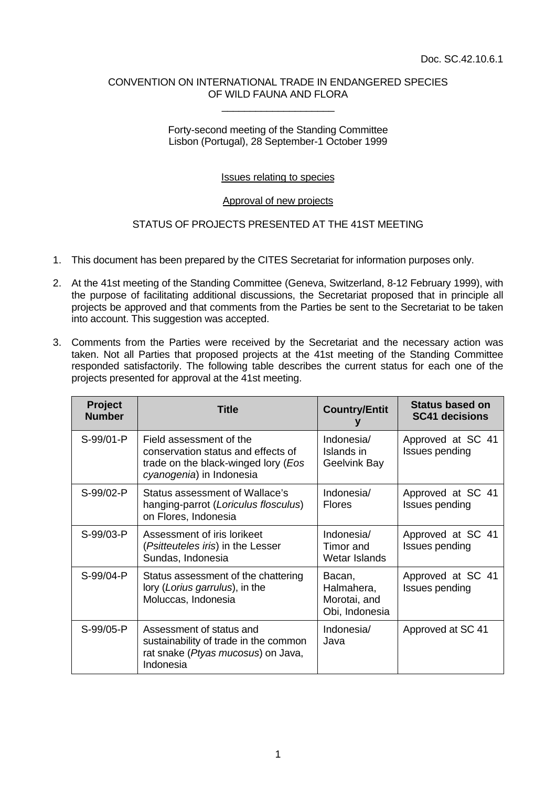### CONVENTION ON INTERNATIONAL TRADE IN ENDANGERED SPECIES OF WILD FAUNA AND FLORA \_\_\_\_\_\_\_\_\_\_\_\_\_\_\_\_\_\_\_\_

## Forty-second meeting of the Standing Committee Lisbon (Portugal), 28 September-1 October 1999

# Issues relating to species

## Approval of new projects

# STATUS OF PROJECTS PRESENTED AT THE 41ST MEETING

- 1. This document has been prepared by the CITES Secretariat for information purposes only.
- 2. At the 41st meeting of the Standing Committee (Geneva, Switzerland, 8-12 February 1999), with the purpose of facilitating additional discussions, the Secretariat proposed that in principle all projects be approved and that comments from the Parties be sent to the Secretariat to be taken into account. This suggestion was accepted.
- 3. Comments from the Parties were received by the Secretariat and the necessary action was taken. Not all Parties that proposed projects at the 41st meeting of the Standing Committee responded satisfactorily. The following table describes the current status for each one of the projects presented for approval at the 41st meeting.

| <b>Project</b><br><b>Number</b> | <b>Title</b>                                                                                                                     | <b>Country/Entit</b>                                   | <b>Status based on</b><br><b>SC41 decisions</b> |
|---------------------------------|----------------------------------------------------------------------------------------------------------------------------------|--------------------------------------------------------|-------------------------------------------------|
| S-99/01-P                       | Field assessment of the<br>conservation status and effects of<br>trade on the black-winged lory (Eos<br>cyanogenia) in Indonesia | Indonesia/<br>Islands in<br>Geelvink Bay               | Approved at SC 41<br>Issues pending             |
| S-99/02-P                       | <b>Status assessment of Wallace's</b><br>hanging-parrot (Loriculus flosculus)<br>on Flores, Indonesia                            | Indonesia/<br><b>Flores</b>                            | Approved at SC 41<br>Issues pending             |
| S-99/03-P                       | Assessment of iris lorikeet<br>(Psitteuteles iris) in the Lesser<br>Sundas, Indonesia                                            | Indonesia/<br>Timor and<br>Wetar Islands               | Approved at SC 41<br>Issues pending             |
| S-99/04-P                       | Status assessment of the chattering<br>lory (Lorius garrulus), in the<br>Moluccas, Indonesia                                     | Bacan,<br>Halmahera,<br>Morotai, and<br>Obi, Indonesia | Approved at SC 41<br>Issues pending             |
| S-99/05-P                       | Assessment of status and<br>sustainability of trade in the common<br>rat snake (Ptyas mucosus) on Java,<br>Indonesia             | Indonesia/<br>Java                                     | Approved at SC 41                               |